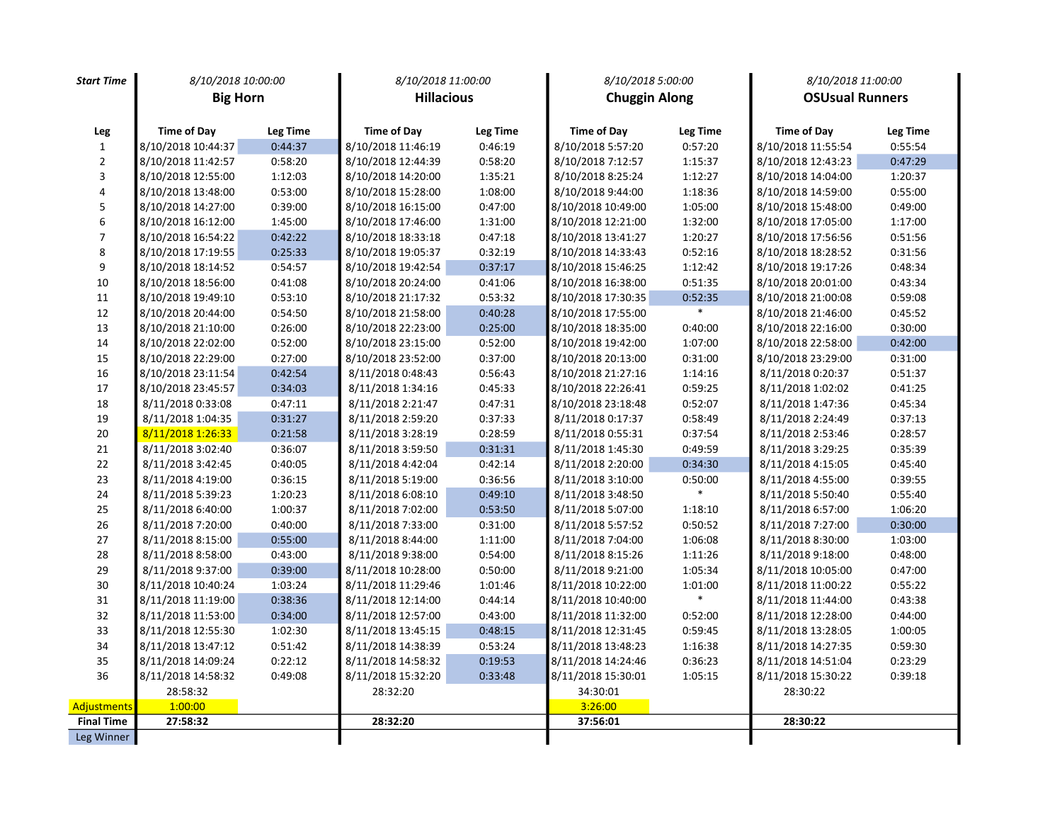| <b>Start Time</b>       | 8/10/2018 10:00:00 |                 | 8/10/2018 11:00:00 |          | 8/10/2018 5:00:00    |                 | 8/10/2018 11:00:00     |          |
|-------------------------|--------------------|-----------------|--------------------|----------|----------------------|-----------------|------------------------|----------|
|                         | <b>Big Horn</b>    |                 | <b>Hillacious</b>  |          | <b>Chuggin Along</b> |                 | <b>OSUsual Runners</b> |          |
|                         |                    |                 |                    |          |                      |                 |                        |          |
| Leg                     | <b>Time of Day</b> | <b>Leg Time</b> | <b>Time of Day</b> | Leg Time | <b>Time of Day</b>   | <b>Leg Time</b> | <b>Time of Day</b>     | Leg Time |
| $\mathbf{1}$            | 8/10/2018 10:44:37 | 0:44:37         | 8/10/2018 11:46:19 | 0:46:19  | 8/10/2018 5:57:20    | 0:57:20         | 8/10/2018 11:55:54     | 0:55:54  |
| $\overline{2}$          | 8/10/2018 11:42:57 | 0:58:20         | 8/10/2018 12:44:39 | 0:58:20  | 8/10/2018 7:12:57    | 1:15:37         | 8/10/2018 12:43:23     | 0:47:29  |
| 3                       | 8/10/2018 12:55:00 | 1:12:03         | 8/10/2018 14:20:00 | 1:35:21  | 8/10/2018 8:25:24    | 1:12:27         | 8/10/2018 14:04:00     | 1:20:37  |
| $\overline{\mathbf{4}}$ | 8/10/2018 13:48:00 | 0:53:00         | 8/10/2018 15:28:00 | 1:08:00  | 8/10/2018 9:44:00    | 1:18:36         | 8/10/2018 14:59:00     | 0:55:00  |
| 5                       | 8/10/2018 14:27:00 | 0:39:00         | 8/10/2018 16:15:00 | 0:47:00  | 8/10/2018 10:49:00   | 1:05:00         | 8/10/2018 15:48:00     | 0:49:00  |
| 6                       | 8/10/2018 16:12:00 | 1:45:00         | 8/10/2018 17:46:00 | 1:31:00  | 8/10/2018 12:21:00   | 1:32:00         | 8/10/2018 17:05:00     | 1:17:00  |
| $\overline{7}$          | 8/10/2018 16:54:22 | 0:42:22         | 8/10/2018 18:33:18 | 0:47:18  | 8/10/2018 13:41:27   | 1:20:27         | 8/10/2018 17:56:56     | 0:51:56  |
| 8                       | 8/10/2018 17:19:55 | 0:25:33         | 8/10/2018 19:05:37 | 0:32:19  | 8/10/2018 14:33:43   | 0:52:16         | 8/10/2018 18:28:52     | 0:31:56  |
| 9                       | 8/10/2018 18:14:52 | 0:54:57         | 8/10/2018 19:42:54 | 0:37:17  | 8/10/2018 15:46:25   | 1:12:42         | 8/10/2018 19:17:26     | 0:48:34  |
| 10                      | 8/10/2018 18:56:00 | 0:41:08         | 8/10/2018 20:24:00 | 0:41:06  | 8/10/2018 16:38:00   | 0:51:35         | 8/10/2018 20:01:00     | 0:43:34  |
| $11\,$                  | 8/10/2018 19:49:10 | 0:53:10         | 8/10/2018 21:17:32 | 0:53:32  | 8/10/2018 17:30:35   | 0:52:35         | 8/10/2018 21:00:08     | 0:59:08  |
| 12                      | 8/10/2018 20:44:00 | 0:54:50         | 8/10/2018 21:58:00 | 0:40:28  | 8/10/2018 17:55:00   | $\ast$          | 8/10/2018 21:46:00     | 0:45:52  |
| 13                      | 8/10/2018 21:10:00 | 0:26:00         | 8/10/2018 22:23:00 | 0:25:00  | 8/10/2018 18:35:00   | 0:40:00         | 8/10/2018 22:16:00     | 0:30:00  |
| 14                      | 8/10/2018 22:02:00 | 0:52:00         | 8/10/2018 23:15:00 | 0:52:00  | 8/10/2018 19:42:00   | 1:07:00         | 8/10/2018 22:58:00     | 0:42:00  |
| 15                      | 8/10/2018 22:29:00 | 0:27:00         | 8/10/2018 23:52:00 | 0:37:00  | 8/10/2018 20:13:00   | 0:31:00         | 8/10/2018 23:29:00     | 0:31:00  |
| $16\,$                  | 8/10/2018 23:11:54 | 0:42:54         | 8/11/2018 0:48:43  | 0:56:43  | 8/10/2018 21:27:16   | 1:14:16         | 8/11/2018 0:20:37      | 0:51:37  |
| 17                      | 8/10/2018 23:45:57 | 0:34:03         | 8/11/2018 1:34:16  | 0:45:33  | 8/10/2018 22:26:41   | 0:59:25         | 8/11/2018 1:02:02      | 0:41:25  |
| 18                      | 8/11/2018 0:33:08  | 0:47:11         | 8/11/2018 2:21:47  | 0:47:31  | 8/10/2018 23:18:48   | 0:52:07         | 8/11/2018 1:47:36      | 0:45:34  |
| 19                      | 8/11/2018 1:04:35  | 0:31:27         | 8/11/2018 2:59:20  | 0:37:33  | 8/11/2018 0:17:37    | 0:58:49         | 8/11/2018 2:24:49      | 0:37:13  |
| 20                      | 8/11/2018 1:26:33  | 0:21:58         | 8/11/2018 3:28:19  | 0:28:59  | 8/11/2018 0:55:31    | 0:37:54         | 8/11/2018 2:53:46      | 0:28:57  |
| $21\,$                  | 8/11/2018 3:02:40  | 0:36:07         | 8/11/2018 3:59:50  | 0:31:31  | 8/11/2018 1:45:30    | 0:49:59         | 8/11/2018 3:29:25      | 0:35:39  |
| 22                      | 8/11/2018 3:42:45  | 0:40:05         | 8/11/2018 4:42:04  | 0:42:14  | 8/11/2018 2:20:00    | 0:34:30         | 8/11/2018 4:15:05      | 0:45:40  |
| 23                      | 8/11/2018 4:19:00  | 0:36:15         | 8/11/2018 5:19:00  | 0:36:56  | 8/11/2018 3:10:00    | 0:50:00         | 8/11/2018 4:55:00      | 0:39:55  |
| 24                      | 8/11/2018 5:39:23  | 1:20:23         | 8/11/2018 6:08:10  | 0:49:10  | 8/11/2018 3:48:50    | $\ast$          | 8/11/2018 5:50:40      | 0:55:40  |
| 25                      | 8/11/2018 6:40:00  | 1:00:37         | 8/11/2018 7:02:00  | 0:53:50  | 8/11/2018 5:07:00    | 1:18:10         | 8/11/2018 6:57:00      | 1:06:20  |
| 26                      | 8/11/2018 7:20:00  | 0:40:00         | 8/11/2018 7:33:00  | 0:31:00  | 8/11/2018 5:57:52    | 0:50:52         | 8/11/2018 7:27:00      | 0:30:00  |
| 27                      | 8/11/2018 8:15:00  | 0:55:00         | 8/11/2018 8:44:00  | 1:11:00  | 8/11/2018 7:04:00    | 1:06:08         | 8/11/2018 8:30:00      | 1:03:00  |
| 28                      | 8/11/2018 8:58:00  | 0:43:00         | 8/11/2018 9:38:00  | 0:54:00  | 8/11/2018 8:15:26    | 1:11:26         | 8/11/2018 9:18:00      | 0:48:00  |
| 29                      | 8/11/2018 9:37:00  | 0:39:00         | 8/11/2018 10:28:00 | 0:50:00  | 8/11/2018 9:21:00    | 1:05:34         | 8/11/2018 10:05:00     | 0:47:00  |
| 30                      | 8/11/2018 10:40:24 | 1:03:24         | 8/11/2018 11:29:46 | 1:01:46  | 8/11/2018 10:22:00   | 1:01:00         | 8/11/2018 11:00:22     | 0:55:22  |
| $31\,$                  | 8/11/2018 11:19:00 | 0:38:36         | 8/11/2018 12:14:00 | 0:44:14  | 8/11/2018 10:40:00   | $\ast$          | 8/11/2018 11:44:00     | 0:43:38  |
| 32                      | 8/11/2018 11:53:00 | 0:34:00         | 8/11/2018 12:57:00 | 0:43:00  | 8/11/2018 11:32:00   | 0:52:00         | 8/11/2018 12:28:00     | 0:44:00  |
| 33                      | 8/11/2018 12:55:30 | 1:02:30         | 8/11/2018 13:45:15 | 0:48:15  | 8/11/2018 12:31:45   | 0:59:45         | 8/11/2018 13:28:05     | 1:00:05  |
| 34                      | 8/11/2018 13:47:12 | 0:51:42         | 8/11/2018 14:38:39 | 0:53:24  | 8/11/2018 13:48:23   | 1:16:38         | 8/11/2018 14:27:35     | 0:59:30  |
| 35                      | 8/11/2018 14:09:24 | 0:22:12         | 8/11/2018 14:58:32 | 0:19:53  | 8/11/2018 14:24:46   | 0:36:23         | 8/11/2018 14:51:04     | 0:23:29  |
| 36                      | 8/11/2018 14:58:32 | 0:49:08         | 8/11/2018 15:32:20 | 0:33:48  | 8/11/2018 15:30:01   | 1:05:15         | 8/11/2018 15:30:22     | 0:39:18  |
|                         | 28:58:32           |                 | 28:32:20           |          | 34:30:01             |                 | 28:30:22               |          |
| Adjustments             | 1:00:00            |                 |                    |          | 3:26:00              |                 |                        |          |
| <b>Final Time</b>       | 27:58:32           |                 | 28:32:20           |          | 37:56:01             |                 | 28:30:22               |          |
| Leg Winner              |                    |                 |                    |          |                      |                 |                        |          |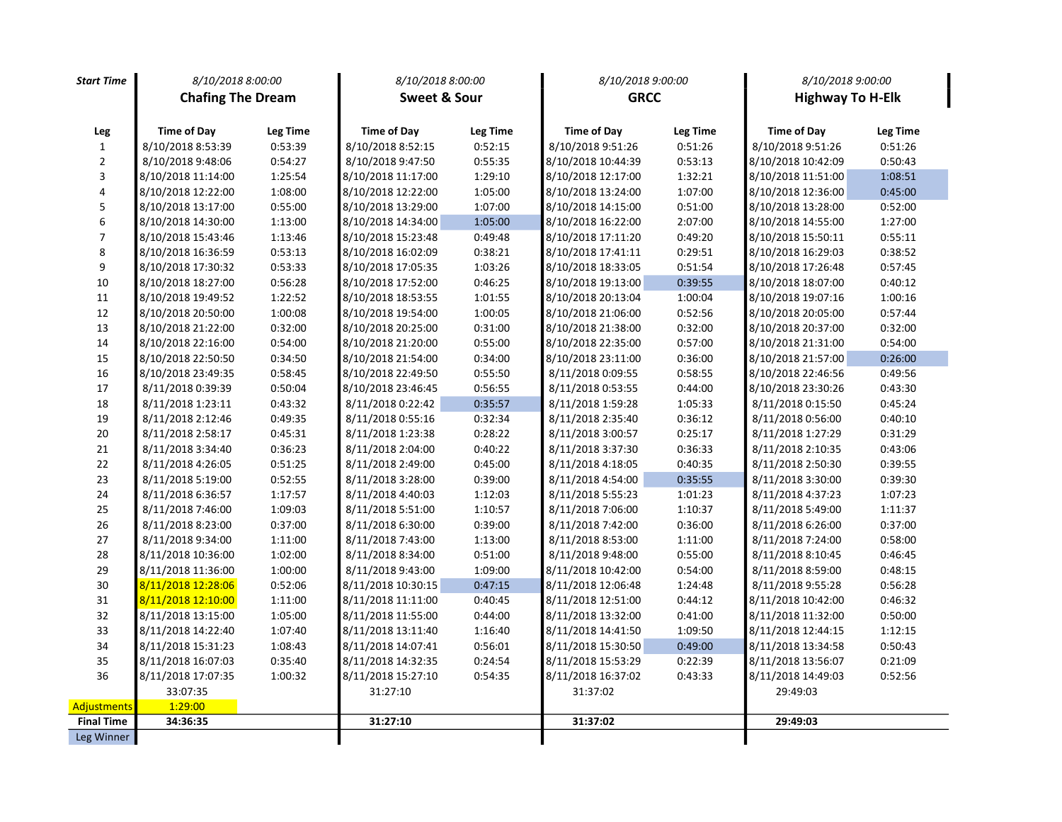| <b>Start Time</b>       | 8/10/2018 8:00:00        |          | 8/10/2018 8:00:00  |          | 8/10/2018 9:00:00  |                 | 8/10/2018 9:00:00  |                         |
|-------------------------|--------------------------|----------|--------------------|----------|--------------------|-----------------|--------------------|-------------------------|
|                         | <b>Chafing The Dream</b> |          | Sweet & Sour       |          |                    | <b>GRCC</b>     |                    | <b>Highway To H-Elk</b> |
|                         |                          |          |                    |          |                    |                 |                    |                         |
| Leg                     | <b>Time of Day</b>       | Leg Time | <b>Time of Day</b> | Leg Time | <b>Time of Day</b> | <b>Leg Time</b> | <b>Time of Day</b> | Leg Time                |
| $\mathbf{1}$            | 8/10/2018 8:53:39        | 0:53:39  | 8/10/2018 8:52:15  | 0:52:15  | 8/10/2018 9:51:26  | 0:51:26         | 8/10/2018 9:51:26  | 0:51:26                 |
| $\mathbf 2$             | 8/10/2018 9:48:06        | 0:54:27  | 8/10/2018 9:47:50  | 0:55:35  | 8/10/2018 10:44:39 | 0:53:13         | 8/10/2018 10:42:09 | 0:50:43                 |
| $\overline{\mathbf{3}}$ | 8/10/2018 11:14:00       | 1:25:54  | 8/10/2018 11:17:00 | 1:29:10  | 8/10/2018 12:17:00 | 1:32:21         | 8/10/2018 11:51:00 | 1:08:51                 |
| $\overline{\mathbf{4}}$ | 8/10/2018 12:22:00       | 1:08:00  | 8/10/2018 12:22:00 | 1:05:00  | 8/10/2018 13:24:00 | 1:07:00         | 8/10/2018 12:36:00 | 0:45:00                 |
| 5                       | 8/10/2018 13:17:00       | 0:55:00  | 8/10/2018 13:29:00 | 1:07:00  | 8/10/2018 14:15:00 | 0:51:00         | 8/10/2018 13:28:00 | 0:52:00                 |
| 6                       | 8/10/2018 14:30:00       | 1:13:00  | 8/10/2018 14:34:00 | 1:05:00  | 8/10/2018 16:22:00 | 2:07:00         | 8/10/2018 14:55:00 | 1:27:00                 |
| $\overline{7}$          | 8/10/2018 15:43:46       | 1:13:46  | 8/10/2018 15:23:48 | 0:49:48  | 8/10/2018 17:11:20 | 0:49:20         | 8/10/2018 15:50:11 | 0:55:11                 |
| $\bf 8$                 | 8/10/2018 16:36:59       | 0:53:13  | 8/10/2018 16:02:09 | 0:38:21  | 8/10/2018 17:41:11 | 0:29:51         | 8/10/2018 16:29:03 | 0:38:52                 |
| $\boldsymbol{9}$        | 8/10/2018 17:30:32       | 0:53:33  | 8/10/2018 17:05:35 | 1:03:26  | 8/10/2018 18:33:05 | 0:51:54         | 8/10/2018 17:26:48 | 0:57:45                 |
| 10                      | 8/10/2018 18:27:00       | 0:56:28  | 8/10/2018 17:52:00 | 0:46:25  | 8/10/2018 19:13:00 | 0:39:55         | 8/10/2018 18:07:00 | 0:40:12                 |
| $11\,$                  | 8/10/2018 19:49:52       | 1:22:52  | 8/10/2018 18:53:55 | 1:01:55  | 8/10/2018 20:13:04 | 1:00:04         | 8/10/2018 19:07:16 | 1:00:16                 |
| 12                      | 8/10/2018 20:50:00       | 1:00:08  | 8/10/2018 19:54:00 | 1:00:05  | 8/10/2018 21:06:00 | 0:52:56         | 8/10/2018 20:05:00 | 0:57:44                 |
| 13                      | 8/10/2018 21:22:00       | 0:32:00  | 8/10/2018 20:25:00 | 0:31:00  | 8/10/2018 21:38:00 | 0:32:00         | 8/10/2018 20:37:00 | 0:32:00                 |
| 14                      | 8/10/2018 22:16:00       | 0:54:00  | 8/10/2018 21:20:00 | 0:55:00  | 8/10/2018 22:35:00 | 0:57:00         | 8/10/2018 21:31:00 | 0:54:00                 |
| 15                      | 8/10/2018 22:50:50       | 0:34:50  | 8/10/2018 21:54:00 | 0:34:00  | 8/10/2018 23:11:00 | 0:36:00         | 8/10/2018 21:57:00 | 0:26:00                 |
| 16                      | 8/10/2018 23:49:35       | 0:58:45  | 8/10/2018 22:49:50 | 0:55:50  | 8/11/2018 0:09:55  | 0:58:55         | 8/10/2018 22:46:56 | 0:49:56                 |
| 17                      | 8/11/2018 0:39:39        | 0:50:04  | 8/10/2018 23:46:45 | 0:56:55  | 8/11/2018 0:53:55  | 0:44:00         | 8/10/2018 23:30:26 | 0:43:30                 |
| 18                      | 8/11/2018 1:23:11        | 0:43:32  | 8/11/2018 0:22:42  | 0:35:57  | 8/11/2018 1:59:28  | 1:05:33         | 8/11/2018 0:15:50  | 0:45:24                 |
| 19                      | 8/11/2018 2:12:46        | 0:49:35  | 8/11/2018 0:55:16  | 0:32:34  | 8/11/2018 2:35:40  | 0:36:12         | 8/11/2018 0:56:00  | 0:40:10                 |
| 20                      | 8/11/2018 2:58:17        | 0:45:31  | 8/11/2018 1:23:38  | 0:28:22  | 8/11/2018 3:00:57  | 0:25:17         | 8/11/2018 1:27:29  | 0:31:29                 |
| 21                      | 8/11/2018 3:34:40        | 0:36:23  | 8/11/2018 2:04:00  | 0:40:22  | 8/11/2018 3:37:30  | 0:36:33         | 8/11/2018 2:10:35  | 0:43:06                 |
| $22\,$                  | 8/11/2018 4:26:05        | 0:51:25  | 8/11/2018 2:49:00  | 0:45:00  | 8/11/2018 4:18:05  | 0:40:35         | 8/11/2018 2:50:30  | 0:39:55                 |
| 23                      | 8/11/2018 5:19:00        | 0:52:55  | 8/11/2018 3:28:00  | 0:39:00  | 8/11/2018 4:54:00  | 0:35:55         | 8/11/2018 3:30:00  | 0:39:30                 |
| 24                      | 8/11/2018 6:36:57        | 1:17:57  | 8/11/2018 4:40:03  | 1:12:03  | 8/11/2018 5:55:23  | 1:01:23         | 8/11/2018 4:37:23  | 1:07:23                 |
| 25                      | 8/11/2018 7:46:00        | 1:09:03  | 8/11/2018 5:51:00  | 1:10:57  | 8/11/2018 7:06:00  | 1:10:37         | 8/11/2018 5:49:00  | 1:11:37                 |
| $26\,$                  | 8/11/2018 8:23:00        | 0:37:00  | 8/11/2018 6:30:00  | 0:39:00  | 8/11/2018 7:42:00  | 0:36:00         | 8/11/2018 6:26:00  | 0:37:00                 |
| 27                      | 8/11/2018 9:34:00        | 1:11:00  | 8/11/2018 7:43:00  | 1:13:00  | 8/11/2018 8:53:00  | 1:11:00         | 8/11/2018 7:24:00  | 0:58:00                 |
| 28                      | 8/11/2018 10:36:00       | 1:02:00  | 8/11/2018 8:34:00  | 0:51:00  | 8/11/2018 9:48:00  | 0:55:00         | 8/11/2018 8:10:45  | 0:46:45                 |
| 29                      | 8/11/2018 11:36:00       | 1:00:00  | 8/11/2018 9:43:00  | 1:09:00  | 8/11/2018 10:42:00 | 0:54:00         | 8/11/2018 8:59:00  | 0:48:15                 |
| 30                      | 8/11/2018 12:28:06       | 0:52:06  | 8/11/2018 10:30:15 | 0:47:15  | 8/11/2018 12:06:48 | 1:24:48         | 8/11/2018 9:55:28  | 0:56:28                 |
| 31                      | 8/11/2018 12:10:00       | 1:11:00  | 8/11/2018 11:11:00 | 0:40:45  | 8/11/2018 12:51:00 | 0:44:12         | 8/11/2018 10:42:00 | 0:46:32                 |
| 32                      | 8/11/2018 13:15:00       | 1:05:00  | 8/11/2018 11:55:00 | 0:44:00  | 8/11/2018 13:32:00 | 0:41:00         | 8/11/2018 11:32:00 | 0:50:00                 |
| 33                      | 8/11/2018 14:22:40       | 1:07:40  | 8/11/2018 13:11:40 | 1:16:40  | 8/11/2018 14:41:50 | 1:09:50         | 8/11/2018 12:44:15 | 1:12:15                 |
| 34                      | 8/11/2018 15:31:23       | 1:08:43  | 8/11/2018 14:07:41 | 0:56:01  | 8/11/2018 15:30:50 | 0:49:00         | 8/11/2018 13:34:58 | 0:50:43                 |
| 35                      | 8/11/2018 16:07:03       | 0:35:40  | 8/11/2018 14:32:35 | 0:24:54  | 8/11/2018 15:53:29 | 0:22:39         | 8/11/2018 13:56:07 | 0:21:09                 |
| 36                      | 8/11/2018 17:07:35       | 1:00:32  | 8/11/2018 15:27:10 | 0:54:35  | 8/11/2018 16:37:02 | 0:43:33         | 8/11/2018 14:49:03 | 0:52:56                 |
|                         | 33:07:35                 |          | 31:27:10           |          | 31:37:02           |                 | 29:49:03           |                         |
| Adjustments             | 1:29:00                  |          |                    |          |                    |                 |                    |                         |
| <b>Final Time</b>       | 34:36:35                 |          | 31:27:10           |          | 31:37:02           |                 | 29:49:03           |                         |
| Leg Winner              |                          |          |                    |          |                    |                 |                    |                         |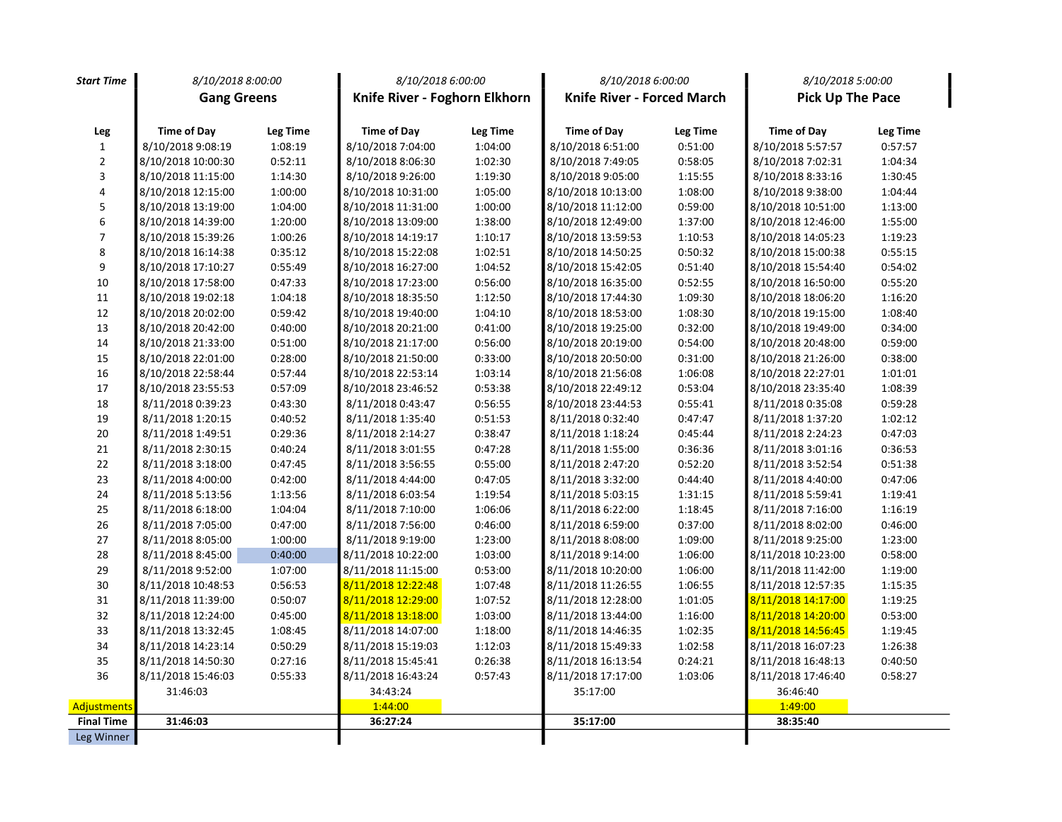| <b>Start Time</b> | 8/10/2018 8:00:00  |          | 8/10/2018 6:00:00             |          | 8/10/2018 6:00:00          |          | 8/10/2018 5:00:00       |          |
|-------------------|--------------------|----------|-------------------------------|----------|----------------------------|----------|-------------------------|----------|
|                   | <b>Gang Greens</b> |          | Knife River - Foghorn Elkhorn |          | Knife River - Forced March |          | <b>Pick Up The Pace</b> |          |
|                   |                    |          |                               |          |                            |          |                         |          |
| Leg               | <b>Time of Day</b> | Leg Time | <b>Time of Day</b>            | Leg Time | <b>Time of Day</b>         | Leg Time | <b>Time of Day</b>      | Leg Time |
| $\mathbf{1}$      | 8/10/2018 9:08:19  | 1:08:19  | 8/10/2018 7:04:00             | 1:04:00  | 8/10/2018 6:51:00          | 0:51:00  | 8/10/2018 5:57:57       | 0:57:57  |
| $\overline{2}$    | 8/10/2018 10:00:30 | 0:52:11  | 8/10/2018 8:06:30             | 1:02:30  | 8/10/2018 7:49:05          | 0:58:05  | 8/10/2018 7:02:31       | 1:04:34  |
| $\mathbf{3}$      | 8/10/2018 11:15:00 | 1:14:30  | 8/10/2018 9:26:00             | 1:19:30  | 8/10/2018 9:05:00          | 1:15:55  | 8/10/2018 8:33:16       | 1:30:45  |
| 4                 | 8/10/2018 12:15:00 | 1:00:00  | 8/10/2018 10:31:00            | 1:05:00  | 8/10/2018 10:13:00         | 1:08:00  | 8/10/2018 9:38:00       | 1:04:44  |
| 5                 | 8/10/2018 13:19:00 | 1:04:00  | 8/10/2018 11:31:00            | 1:00:00  | 8/10/2018 11:12:00         | 0:59:00  | 8/10/2018 10:51:00      | 1:13:00  |
| 6                 | 8/10/2018 14:39:00 | 1:20:00  | 8/10/2018 13:09:00            | 1:38:00  | 8/10/2018 12:49:00         | 1:37:00  | 8/10/2018 12:46:00      | 1:55:00  |
| $\overline{7}$    | 8/10/2018 15:39:26 | 1:00:26  | 8/10/2018 14:19:17            | 1:10:17  | 8/10/2018 13:59:53         | 1:10:53  | 8/10/2018 14:05:23      | 1:19:23  |
| 8                 | 8/10/2018 16:14:38 | 0:35:12  | 8/10/2018 15:22:08            | 1:02:51  | 8/10/2018 14:50:25         | 0:50:32  | 8/10/2018 15:00:38      | 0:55:15  |
| 9                 | 8/10/2018 17:10:27 | 0:55:49  | 8/10/2018 16:27:00            | 1:04:52  | 8/10/2018 15:42:05         | 0:51:40  | 8/10/2018 15:54:40      | 0:54:02  |
| 10                | 8/10/2018 17:58:00 | 0:47:33  | 8/10/2018 17:23:00            | 0:56:00  | 8/10/2018 16:35:00         | 0:52:55  | 8/10/2018 16:50:00      | 0:55:20  |
| 11                | 8/10/2018 19:02:18 | 1:04:18  | 8/10/2018 18:35:50            | 1:12:50  | 8/10/2018 17:44:30         | 1:09:30  | 8/10/2018 18:06:20      | 1:16:20  |
| 12                | 8/10/2018 20:02:00 | 0:59:42  | 8/10/2018 19:40:00            | 1:04:10  | 8/10/2018 18:53:00         | 1:08:30  | 8/10/2018 19:15:00      | 1:08:40  |
| 13                | 8/10/2018 20:42:00 | 0:40:00  | 8/10/2018 20:21:00            | 0:41:00  | 8/10/2018 19:25:00         | 0:32:00  | 8/10/2018 19:49:00      | 0:34:00  |
| 14                | 8/10/2018 21:33:00 | 0:51:00  | 8/10/2018 21:17:00            | 0:56:00  | 8/10/2018 20:19:00         | 0:54:00  | 8/10/2018 20:48:00      | 0:59:00  |
| 15                | 8/10/2018 22:01:00 | 0:28:00  | 8/10/2018 21:50:00            | 0:33:00  | 8/10/2018 20:50:00         | 0:31:00  | 8/10/2018 21:26:00      | 0:38:00  |
| 16                | 8/10/2018 22:58:44 | 0:57:44  | 8/10/2018 22:53:14            | 1:03:14  | 8/10/2018 21:56:08         | 1:06:08  | 8/10/2018 22:27:01      | 1:01:01  |
| 17                | 8/10/2018 23:55:53 | 0:57:09  | 8/10/2018 23:46:52            | 0:53:38  | 8/10/2018 22:49:12         | 0:53:04  | 8/10/2018 23:35:40      | 1:08:39  |
| 18                | 8/11/2018 0:39:23  | 0:43:30  | 8/11/2018 0:43:47             | 0:56:55  | 8/10/2018 23:44:53         | 0:55:41  | 8/11/2018 0:35:08       | 0:59:28  |
| 19                | 8/11/2018 1:20:15  | 0:40:52  | 8/11/2018 1:35:40             | 0:51:53  | 8/11/2018 0:32:40          | 0:47:47  | 8/11/2018 1:37:20       | 1:02:12  |
| 20                | 8/11/2018 1:49:51  | 0:29:36  | 8/11/2018 2:14:27             | 0:38:47  | 8/11/2018 1:18:24          | 0:45:44  | 8/11/2018 2:24:23       | 0:47:03  |
| 21                | 8/11/2018 2:30:15  | 0:40:24  | 8/11/2018 3:01:55             | 0:47:28  | 8/11/2018 1:55:00          | 0:36:36  | 8/11/2018 3:01:16       | 0:36:53  |
| 22                | 8/11/2018 3:18:00  | 0:47:45  | 8/11/2018 3:56:55             | 0:55:00  | 8/11/2018 2:47:20          | 0:52:20  | 8/11/2018 3:52:54       | 0:51:38  |
| 23                | 8/11/2018 4:00:00  | 0:42:00  | 8/11/2018 4:44:00             | 0:47:05  | 8/11/2018 3:32:00          | 0:44:40  | 8/11/2018 4:40:00       | 0:47:06  |
| 24                | 8/11/2018 5:13:56  | 1:13:56  | 8/11/2018 6:03:54             | 1:19:54  | 8/11/2018 5:03:15          | 1:31:15  | 8/11/2018 5:59:41       | 1:19:41  |
| 25                | 8/11/2018 6:18:00  | 1:04:04  | 8/11/2018 7:10:00             | 1:06:06  | 8/11/2018 6:22:00          | 1:18:45  | 8/11/2018 7:16:00       | 1:16:19  |
| 26                | 8/11/2018 7:05:00  | 0:47:00  | 8/11/2018 7:56:00             | 0:46:00  | 8/11/2018 6:59:00          | 0:37:00  | 8/11/2018 8:02:00       | 0:46:00  |
| 27                | 8/11/2018 8:05:00  | 1:00:00  | 8/11/2018 9:19:00             | 1:23:00  | 8/11/2018 8:08:00          | 1:09:00  | 8/11/2018 9:25:00       | 1:23:00  |
| 28                | 8/11/2018 8:45:00  | 0:40:00  | 8/11/2018 10:22:00            | 1:03:00  | 8/11/2018 9:14:00          | 1:06:00  | 8/11/2018 10:23:00      | 0:58:00  |
| 29                | 8/11/2018 9:52:00  | 1:07:00  | 8/11/2018 11:15:00            | 0:53:00  | 8/11/2018 10:20:00         | 1:06:00  | 8/11/2018 11:42:00      | 1:19:00  |
| 30                | 8/11/2018 10:48:53 | 0:56:53  | 8/11/2018 12:22:48            | 1:07:48  | 8/11/2018 11:26:55         | 1:06:55  | 8/11/2018 12:57:35      | 1:15:35  |
| 31                | 8/11/2018 11:39:00 | 0:50:07  | 8/11/2018 12:29:00            | 1:07:52  | 8/11/2018 12:28:00         | 1:01:05  | 8/11/2018 14:17:00      | 1:19:25  |
| 32                | 8/11/2018 12:24:00 | 0:45:00  | 8/11/2018 13:18:00            | 1:03:00  | 8/11/2018 13:44:00         | 1:16:00  | 8/11/2018 14:20:00      | 0:53:00  |
| 33                | 8/11/2018 13:32:45 | 1:08:45  | 8/11/2018 14:07:00            | 1:18:00  | 8/11/2018 14:46:35         | 1:02:35  | 8/11/2018 14:56:45      | 1:19:45  |
| 34                | 8/11/2018 14:23:14 | 0:50:29  | 8/11/2018 15:19:03            | 1:12:03  | 8/11/2018 15:49:33         | 1:02:58  | 8/11/2018 16:07:23      | 1:26:38  |
| 35                | 8/11/2018 14:50:30 | 0:27:16  | 8/11/2018 15:45:41            | 0:26:38  | 8/11/2018 16:13:54         | 0:24:21  | 8/11/2018 16:48:13      | 0:40:50  |
| 36                | 8/11/2018 15:46:03 | 0:55:33  | 8/11/2018 16:43:24            | 0:57:43  | 8/11/2018 17:17:00         | 1:03:06  | 8/11/2018 17:46:40      | 0:58:27  |
|                   | 31:46:03           |          | 34:43:24                      |          | 35:17:00                   |          | 36:46:40                |          |
| Adjustments       |                    |          | 1:44:00                       |          |                            |          | 1:49:00                 |          |
| <b>Final Time</b> | 31:46:03           |          | 36:27:24                      |          | 35:17:00                   |          | 38:35:40                |          |
| Leg Winner        |                    |          |                               |          |                            |          |                         |          |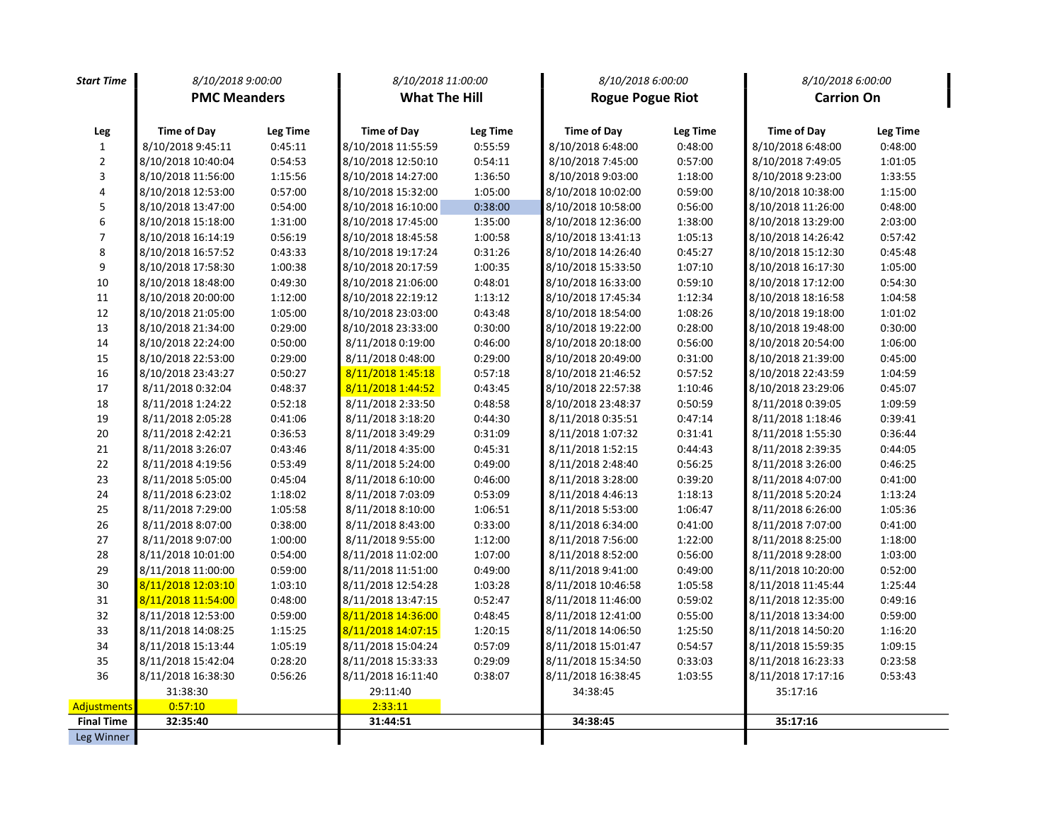| <b>Start Time</b>       | 8/10/2018 9:00:00   |          | 8/10/2018 11:00:00   |                 | 8/10/2018 6:00:00       |                 | 8/10/2018 6:00:00  |          |
|-------------------------|---------------------|----------|----------------------|-----------------|-------------------------|-----------------|--------------------|----------|
|                         | <b>PMC Meanders</b> |          | <b>What The Hill</b> |                 | <b>Rogue Pogue Riot</b> |                 | <b>Carrion On</b>  |          |
|                         |                     |          |                      |                 |                         |                 |                    |          |
| Leg                     | <b>Time of Day</b>  | Leg Time | <b>Time of Day</b>   | <b>Leg Time</b> | <b>Time of Day</b>      | <b>Leg Time</b> | <b>Time of Day</b> | Leg Time |
| 1                       | 8/10/2018 9:45:11   | 0:45:11  | 8/10/2018 11:55:59   | 0:55:59         | 8/10/2018 6:48:00       | 0:48:00         | 8/10/2018 6:48:00  | 0:48:00  |
| $\overline{2}$          | 8/10/2018 10:40:04  | 0:54:53  | 8/10/2018 12:50:10   | 0:54:11         | 8/10/2018 7:45:00       | 0:57:00         | 8/10/2018 7:49:05  | 1:01:05  |
| 3                       | 8/10/2018 11:56:00  | 1:15:56  | 8/10/2018 14:27:00   | 1:36:50         | 8/10/2018 9:03:00       | 1:18:00         | 8/10/2018 9:23:00  | 1:33:55  |
| $\overline{\mathbf{4}}$ | 8/10/2018 12:53:00  | 0:57:00  | 8/10/2018 15:32:00   | 1:05:00         | 8/10/2018 10:02:00      | 0:59:00         | 8/10/2018 10:38:00 | 1:15:00  |
| 5                       | 8/10/2018 13:47:00  | 0:54:00  | 8/10/2018 16:10:00   | 0:38:00         | 8/10/2018 10:58:00      | 0:56:00         | 8/10/2018 11:26:00 | 0:48:00  |
| 6                       | 8/10/2018 15:18:00  | 1:31:00  | 8/10/2018 17:45:00   | 1:35:00         | 8/10/2018 12:36:00      | 1:38:00         | 8/10/2018 13:29:00 | 2:03:00  |
| $\overline{7}$          | 8/10/2018 16:14:19  | 0:56:19  | 8/10/2018 18:45:58   | 1:00:58         | 8/10/2018 13:41:13      | 1:05:13         | 8/10/2018 14:26:42 | 0:57:42  |
| 8                       | 8/10/2018 16:57:52  | 0:43:33  | 8/10/2018 19:17:24   | 0:31:26         | 8/10/2018 14:26:40      | 0:45:27         | 8/10/2018 15:12:30 | 0:45:48  |
| 9                       | 8/10/2018 17:58:30  | 1:00:38  | 8/10/2018 20:17:59   | 1:00:35         | 8/10/2018 15:33:50      | 1:07:10         | 8/10/2018 16:17:30 | 1:05:00  |
| 10                      | 8/10/2018 18:48:00  | 0:49:30  | 8/10/2018 21:06:00   | 0:48:01         | 8/10/2018 16:33:00      | 0:59:10         | 8/10/2018 17:12:00 | 0:54:30  |
| 11                      | 8/10/2018 20:00:00  | 1:12:00  | 8/10/2018 22:19:12   | 1:13:12         | 8/10/2018 17:45:34      | 1:12:34         | 8/10/2018 18:16:58 | 1:04:58  |
| 12                      | 8/10/2018 21:05:00  | 1:05:00  | 8/10/2018 23:03:00   | 0:43:48         | 8/10/2018 18:54:00      | 1:08:26         | 8/10/2018 19:18:00 | 1:01:02  |
| 13                      | 8/10/2018 21:34:00  | 0:29:00  | 8/10/2018 23:33:00   | 0:30:00         | 8/10/2018 19:22:00      | 0:28:00         | 8/10/2018 19:48:00 | 0:30:00  |
| 14                      | 8/10/2018 22:24:00  | 0:50:00  | 8/11/2018 0:19:00    | 0:46:00         | 8/10/2018 20:18:00      | 0:56:00         | 8/10/2018 20:54:00 | 1:06:00  |
| 15                      | 8/10/2018 22:53:00  | 0:29:00  | 8/11/2018 0:48:00    | 0:29:00         | 8/10/2018 20:49:00      | 0:31:00         | 8/10/2018 21:39:00 | 0:45:00  |
| 16                      | 8/10/2018 23:43:27  | 0:50:27  | 8/11/2018 1:45:18    | 0:57:18         | 8/10/2018 21:46:52      | 0:57:52         | 8/10/2018 22:43:59 | 1:04:59  |
| 17                      | 8/11/2018 0:32:04   | 0:48:37  | 8/11/2018 1:44:52    | 0:43:45         | 8/10/2018 22:57:38      | 1:10:46         | 8/10/2018 23:29:06 | 0:45:07  |
| 18                      | 8/11/2018 1:24:22   | 0:52:18  | 8/11/2018 2:33:50    | 0:48:58         | 8/10/2018 23:48:37      | 0:50:59         | 8/11/2018 0:39:05  | 1:09:59  |
| 19                      | 8/11/2018 2:05:28   | 0:41:06  | 8/11/2018 3:18:20    | 0:44:30         | 8/11/2018 0:35:51       | 0:47:14         | 8/11/2018 1:18:46  | 0:39:41  |
| 20                      | 8/11/2018 2:42:21   | 0:36:53  | 8/11/2018 3:49:29    | 0:31:09         | 8/11/2018 1:07:32       | 0:31:41         | 8/11/2018 1:55:30  | 0:36:44  |
| 21                      | 8/11/2018 3:26:07   | 0:43:46  | 8/11/2018 4:35:00    | 0:45:31         | 8/11/2018 1:52:15       | 0:44:43         | 8/11/2018 2:39:35  | 0:44:05  |
| 22                      | 8/11/2018 4:19:56   | 0:53:49  | 8/11/2018 5:24:00    | 0:49:00         | 8/11/2018 2:48:40       | 0:56:25         | 8/11/2018 3:26:00  | 0:46:25  |
| 23                      | 8/11/2018 5:05:00   | 0:45:04  | 8/11/2018 6:10:00    | 0:46:00         | 8/11/2018 3:28:00       | 0:39:20         | 8/11/2018 4:07:00  | 0:41:00  |
| 24                      | 8/11/2018 6:23:02   | 1:18:02  | 8/11/2018 7:03:09    | 0:53:09         | 8/11/2018 4:46:13       | 1:18:13         | 8/11/2018 5:20:24  | 1:13:24  |
| 25                      | 8/11/2018 7:29:00   | 1:05:58  | 8/11/2018 8:10:00    | 1:06:51         | 8/11/2018 5:53:00       | 1:06:47         | 8/11/2018 6:26:00  | 1:05:36  |
| 26                      | 8/11/2018 8:07:00   | 0:38:00  | 8/11/2018 8:43:00    | 0:33:00         | 8/11/2018 6:34:00       | 0:41:00         | 8/11/2018 7:07:00  | 0:41:00  |
| 27                      | 8/11/2018 9:07:00   | 1:00:00  | 8/11/2018 9:55:00    | 1:12:00         | 8/11/2018 7:56:00       | 1:22:00         | 8/11/2018 8:25:00  | 1:18:00  |
| 28                      | 8/11/2018 10:01:00  | 0:54:00  | 8/11/2018 11:02:00   | 1:07:00         | 8/11/2018 8:52:00       | 0:56:00         | 8/11/2018 9:28:00  | 1:03:00  |
| 29                      | 8/11/2018 11:00:00  | 0:59:00  | 8/11/2018 11:51:00   | 0:49:00         | 8/11/2018 9:41:00       | 0:49:00         | 8/11/2018 10:20:00 | 0:52:00  |
| 30                      | 8/11/2018 12:03:10  | 1:03:10  | 8/11/2018 12:54:28   | 1:03:28         | 8/11/2018 10:46:58      | 1:05:58         | 8/11/2018 11:45:44 | 1:25:44  |
| 31                      | 8/11/2018 11:54:00  | 0:48:00  | 8/11/2018 13:47:15   | 0:52:47         | 8/11/2018 11:46:00      | 0:59:02         | 8/11/2018 12:35:00 | 0:49:16  |
| 32                      | 8/11/2018 12:53:00  | 0:59:00  | 8/11/2018 14:36:00   | 0:48:45         | 8/11/2018 12:41:00      | 0:55:00         | 8/11/2018 13:34:00 | 0:59:00  |
| 33                      | 8/11/2018 14:08:25  | 1:15:25  | 8/11/2018 14:07:15   | 1:20:15         | 8/11/2018 14:06:50      | 1:25:50         | 8/11/2018 14:50:20 | 1:16:20  |
| 34                      | 8/11/2018 15:13:44  | 1:05:19  | 8/11/2018 15:04:24   | 0:57:09         | 8/11/2018 15:01:47      | 0:54:57         | 8/11/2018 15:59:35 | 1:09:15  |
| 35                      | 8/11/2018 15:42:04  | 0:28:20  | 8/11/2018 15:33:33   | 0:29:09         | 8/11/2018 15:34:50      | 0:33:03         | 8/11/2018 16:23:33 | 0:23:58  |
| 36                      | 8/11/2018 16:38:30  | 0:56:26  | 8/11/2018 16:11:40   | 0:38:07         | 8/11/2018 16:38:45      | 1:03:55         | 8/11/2018 17:17:16 | 0:53:43  |
|                         | 31:38:30            |          | 29:11:40             |                 | 34:38:45                |                 | 35:17:16           |          |
| <b>Adjustments</b>      | 0:57:10             |          | 2:33:11              |                 |                         |                 |                    |          |
| <b>Final Time</b>       | 32:35:40            |          | 31:44:51             |                 | 34:38:45                |                 | 35:17:16           |          |
| Leg Winner              |                     |          |                      |                 |                         |                 |                    |          |